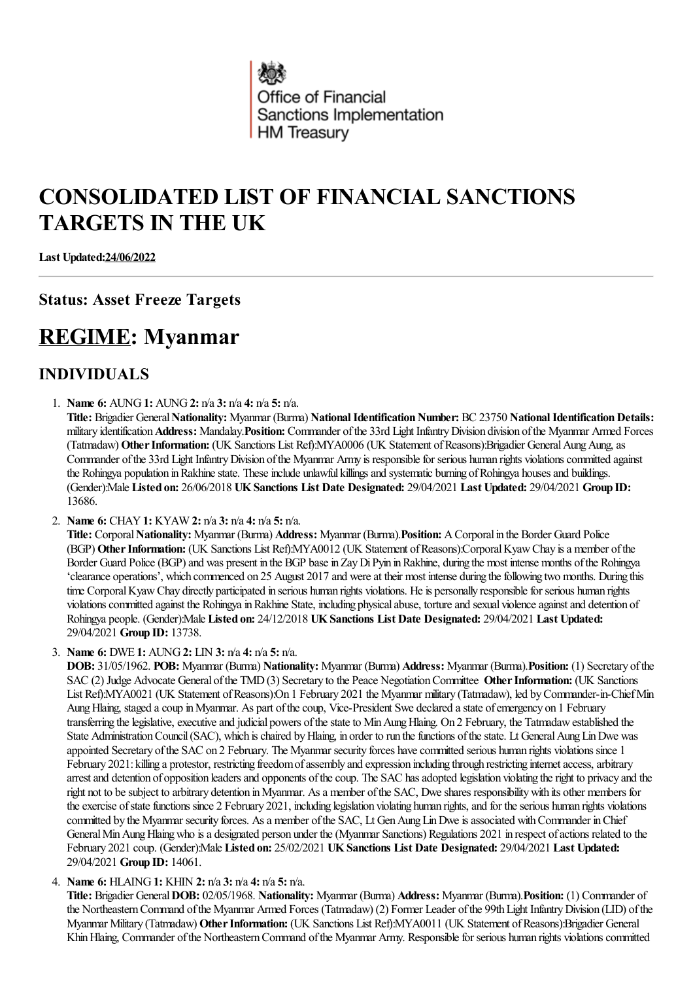

# **CONSOLIDATED LIST OF FINANCIAL SANCTIONS TARGETS IN THE UK**

**Last Updated:24/06/2022**

# **Status: Asset Freeze Targets**

# **REGIME: Myanmar**

# **INDIVIDUALS**

1. **Name 6:** AUNG**1:** AUNG**2:** n/a **3:** n/a **4:** n/a **5:** n/a.

**Title:** Brigadier General**Nationality:** Myanmar (Burma) **NationalIdentificationNumber:** BC 23750 **NationalIdentificationDetails:** military identification**Address:** Mandalay.**Position:** Commander ofthe 33rd Light InfantryDivision division ofthe Myanmar Armed Forces (Tatmadaw) **OtherInformation:** (UK Sanctions List Ref):MYA0006 (UK Statement ofReasons):Brigadier GeneralAungAung,as Commander ofthe 33rd Light InfantryDivision ofthe Myanmar Army is responsiblefor serious human rights violationscommitted against the Rohingya population in Rakhine state. These include unlawful killings and systematic burning of Rohingya houses and buildings. (Gender):Male **Listed on:** 26/06/2018 **UKSanctions List Date Designated:** 29/04/2021 **Last Updated:** 29/04/2021 **Group ID:** 13686.

2. **Name 6:** CHAY**1:** KYAW **2:** n/a **3:** n/a **4:** n/a **5:** n/a.

**Title:** Corporal**Nationality:** Myanmar (Burma) **Address:** Myanmar (Burma).**Position:** ACorporalin the Border Guard Police (BGP) Other Information: (UK Sanctions List Ref):MYA0012 (UK Statement of Reasons):Corporal Kyaw Chay is a member of the Border Guard Police (BGP) and was present in the BGP base in Zay Di Pyin in Rakhine, during the most intense months of the Rohingya 'clearance operations', which commenced on 25 August 2017 and were at their most intense during the following two months. During this time Corporal Kyaw Chay directly participated in serious human rights violations. He is personally responsible for serious human rights violations committed against the Rohingya in Rakhine State, including physical abuse, torture and sexual violence against and detention of Rohingya people. (Gender):Male **Listed on:** 24/12/2018 **UKSanctions List Date Designated:** 29/04/2021 **Last Updated:** 29/04/2021 **Group ID:** 13738.

3. **Name 6:** DWE **1:** AUNG**2:** LIN **3:** n/a **4:** n/a **5:** n/a.

**DOB:** 31/05/1962. **POB:** Myanmar (Burma) **Nationality:** Myanmar (Burma) **Address:** Myanmar (Burma).**Position:** (1) Secretary ofthe SAC (2) Judge Advocate General ofthe TMD(3) Secretary to the Peace NegotiationCommittee **OtherInformation:** (UK Sanctions List Ref):MYA0021 (UK Statement of Reasons):On 1 February 2021 the Myanmar military (Tatmadaw), led by Commander-in-Chief Min Aung Hlaing, staged a coup in Myanmar. As part of the coup, Vice-President Swe declared a state of emergency on 1 February transferring the legislative, executive and judicial powers of the state to Min Aung Hlaing. On 2 February, the Tatmadaw established the State Administration Council (SAC), which is chaired by Hlaing, in order to run the functions of the state. Lt General Aung Lin Dwe was appointed Secretary of the SAC on 2 February. The Myanmar security forces have committed serious human rights violations since 1 February 2021: killing a protestor, restricting freedom of assembly and expression including through restricting internet access, arbitrary arrest and detention of opposition leaders and opponents of the coup. The SAC has adopted legislation violating the right to privacy and the right not to be subject to arbitrary detention in Myanmar. As a member of the SAC, Dwe shares responsibility with its other members for the exercise of state functions since 2 February 2021, including legislation violating human rights, and for the serious human rights violations committed by the Myanmar security forces. As a member of the SAC, Lt Gen Aung Lin Dwe is associated with Commander in Chief General Min Aung Hlaing who is a designated person under the (Myanmar Sanctions) Regulations 2021 in respect of actions related to the February 2021 coup. (Gender):Male **Listed on:** 25/02/2021 **UKSanctions List Date Designated:** 29/04/2021 **Last Updated:** 29/04/2021 **Group ID:** 14061.

4. **Name 6:** HLAING**1:** KHIN **2:** n/a **3:** n/a **4:** n/a **5:** n/a.

**Title:** Brigadier General**DOB:** 02/05/1968. **Nationality:** Myanmar (Burma) **Address:** Myanmar (Burma).**Position:** (1) Commander of the Northeastern Command of the Myanmar Armed Forces (Tatmadaw) (2) Former Leader of the 99th Light Infantry Division (LID) of the Myanmar Military (Tatmadaw) **OtherInformation:** (UK Sanctions List Ref):MYA0011 (UK Statement ofReasons):Brigadier General Khin Hlaing, Commander of the Northeastern Command of the Myanmar Army. Responsible for serious human rights violations committed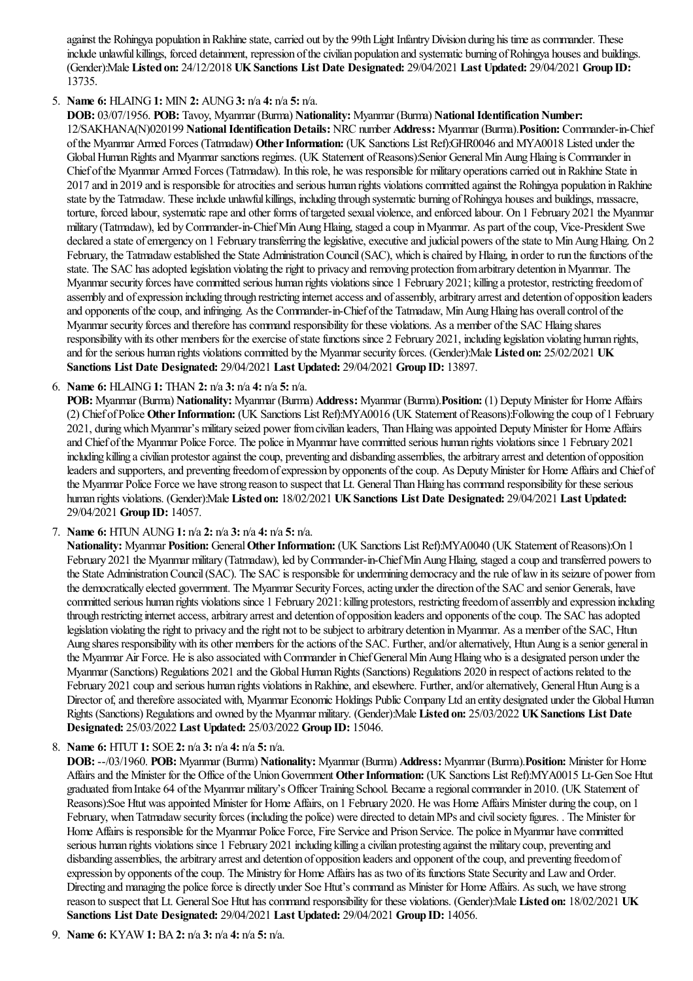against the Rohingya population in Rakhine state, carried out by the 99th Light Infantry Division during his time as commander. These include unlawful killings, forced detainment, repression of the civilian population and systematic burning of Rohingya houses and buildings. (Gender):Male **Listed on:** 24/12/2018 **UKSanctions List Date Designated:** 29/04/2021 **Last Updated:** 29/04/2021 **Group ID:** 13735.

### 5. **Name 6:** HLAING**1:** MIN **2:** AUNG**3:** n/a **4:** n/a **5:** n/a.

**DOB:** 03/07/1956. **POB:** Tavoy, Myanmar (Burma) **Nationality:** Myanmar (Burma) **NationalIdentificationNumber:** 12/SAKHANA(N)020199 **NationalIdentificationDetails:** NRC number **Address:** Myanmar (Burma).**Position:** Commander-in-Chief ofthe Myanmar Armed Forces (Tatmadaw) **OtherInformation:** (UK Sanctions List Ref):GHR0046 and MYA0018 Listed under the Global Human Rights and Myanmar sanctions regimes. (UK Statement of Reasons):Senior General Min Aung Hlaing is Commander in Chief of the Myanmar Armed Forces (Tatmadaw). In this role, he was responsible for military operations carried out in Rakhine State in 2017 and in 2019 and is responsible for atrocities and serious human rights violations committed against the Rohingya population in Rakhine state by the Tatmadaw. These include unlawful killings, including through systematic burning of Rohingya houses and buildings, massacre, torture, forced labour, systematic rape and other forms of targeted sexual violence, and enforced labour. On 1 February 2021 the Myanmar military (Tatmadaw), led byCommander-in-ChiefMinAungHlaing, staged acoup inMyanmar. As part ofthecoup, Vice-President Swe declared a state of emergency on 1 February transferring the legislative, executive and judicial powers of the state to Min Aung Hlaing. On 2 February, the Tatmadaw established the State Administration Council (SAC), which is chaired by Hlaing, in order to run the functions of the state. The SAC has adopted legislation violating the right to privacy and removing protection from arbitrary detention in Myanmar. The Myanmar security forces have committed serious human rights violations since 1 February 2021; killing a protestor, restricting freedom of assembly and of expression including through restricting internet access and of assembly, arbitrary arrest and detention of opposition leaders and opponents of the coup, and infringing. As the Commander-in-Chief of the Tatmadaw, Min Aung Hlaing has overall control of the Myanmar security forcesand therefore hascommand responsibility for these violations. Asa member ofthe SAC Hlaing shares responsibility with its other members for the exercise of state functions since 2 February 2021, including legislation violating human rights, and for theserious human rights violationscommitted by the Myanmar security forces. (Gender):Male **Listed on:** 25/02/2021 **UK Sanctions List Date Designated:** 29/04/2021 **Last Updated:** 29/04/2021 **Group ID:** 13897.

#### 6. **Name 6:** HLAING**1:** THAN **2:** n/a **3:** n/a **4:** n/a **5:** n/a.

**POB:** Myanmar (Burma) **Nationality:** Myanmar (Burma) **Address:** Myanmar (Burma).**Position:** (1) DeputyMinister for Home Affairs (2) Chief ofPolice **OtherInformation:** (UK Sanctions List Ref):MYA0016 (UK Statement ofReasons):Following thecoup of 1 February 2021, duringwhichMyanmar's military seized power fromcivilian leaders, ThanHlaingwasappointed DeputyMinister for Home Affairs and Chief of the Myanmar Police Force. The police in Myanmar have committed serious human rights violations since 1 February 2021 including killing a civilian protestor against the coup, preventing and disbanding assemblies, the arbitrary arrest and detention of opposition leaders and supporters, and preventing freedom of expression by opponents of the coup. As Deputy Minister for Home Affairs and Chief of the Myanmar Police Force we have strong reason to suspect that Lt. General Than Hlaing has command responsibility for these serious human rights violations. (Gender):Male **Listed on:** 18/02/2021 **UKSanctions List Date Designated:** 29/04/2021 **Last Updated:** 29/04/2021 **Group ID:** 14057.

#### 7. **Name 6:** HTUN AUNG**1:** n/a **2:** n/a **3:** n/a **4:** n/a **5:** n/a.

**Nationality:** Myanmar **Position:** General**OtherInformation:** (UK Sanctions List Ref):MYA0040 (UK Statement ofReasons):On 1 February 2021 the Myanmar military (Tatmadaw), led byCommander-in-ChiefMinAungHlaing, staged acoup and transferred powers to the State Administration Council (SAC). The SAC is responsible for undermining democracy and the rule of law in its seizure of power from the democratically elected government. The Myanmar Security Forces, acting under the direction of the SAC and senior Generals, have committed serious human rights violations since 1 February 2021: killing protestors, restricting freedomofassembly and expression including through restricting internet access, arbitrary arrest and detention of opposition leaders and opponents of the coup. The SAC has adopted legislation violating the right to privacy and the right not to be subject to arbitrary detention in Myanmar. As a member of the SAC, Htun Aung shares responsibility with its other members for the actions of the SAC. Further, and/or alternatively, Htun Aung is a senior general in the Myanmar Air Force. He is also associated with Commander in Chief General Min Aung Hlaing who is a designated person under the Myanmar (Sanctions) Regulations 2021 and the GlobalHumanRights (Sanctions) Regulations 2020 in respect ofactions related to the February 2021 coup and serious human rights violations in Rakhine, and elsewhere. Further, and/or alternatively, General Htun Aung is a Director of, and therefore associated with, Myanmar Economic Holdings Public Company Ltd an entity designated under the Global Human Rights (Sanctions) Regulationsand owned by the Myanmar military. (Gender):Male **Listed on:** 25/03/2022 **UKSanctions List Date Designated:** 25/03/2022 **Last Updated:** 25/03/2022 **Group ID:** 15046.

#### 8. **Name 6:** HTUT **1:** SOE **2:** n/a **3:** n/a **4:** n/a **5:** n/a.

**DOB:** --/03/1960. **POB:** Myanmar (Burma) **Nationality:** Myanmar (Burma) **Address:** Myanmar (Burma).**Position:** Minister for Home Affairsand the Minister for the Office ofthe UnionGovernment**OtherInformation:** (UK Sanctions List Ref):MYA0015 Lt-Gen Soe Htut graduated from Intake 64 of the Myanmar military's Officer Training School. Became a regional commander in 2010. (UK Statement of Reasons):Soe Htut was appointed Minister for Home Affairs, on 1 February 2020. He was Home Affairs Minister during the coup, on 1 February, when Tatmadaw security forces (including the police) were directed to detain MPs and civil society figures. . The Minister for Home Affairs is responsible for the Myanmar Police Force, Fire Service and Prison Service. The police in Myanmar have committed serious human rights violations since 1 February 2021 including killing acivilian protesting against the military coup, preventing and disbanding assemblies, the arbitrary arrest and detention of opposition leaders and opponent of the coup, and preventing freedom of expression by opponents ofthecoup. The Ministry for Home Affairs hasas two ofits functions State Security and Lawand Order. Directing and managing the police force is directly under Soe Htut's command as Minister for Home Affairs. As such, we have strong reason to suspect that Lt. GeneralSoe Htut hascommand responsibility for these violations. (Gender):Male **Listed on:** 18/02/2021 **UK Sanctions List Date Designated:** 29/04/2021 **Last Updated:** 29/04/2021 **Group ID:** 14056.

9. **Name 6:** KYAW **1:** BA**2:** n/a **3:** n/a **4:** n/a **5:** n/a.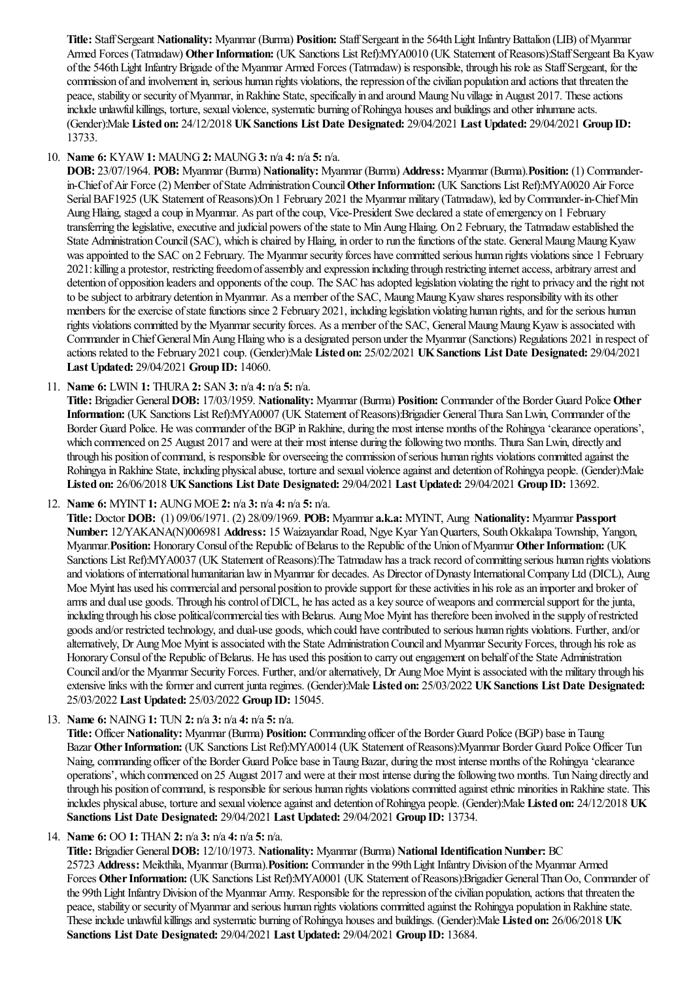**Title:** StaffSergeant **Nationality:** Myanmar (Burma) **Position:** StaffSergeant in the 564thLight InfantryBattalion (LIB) ofMyanmar Armed Forces (Tatmadaw) **OtherInformation:** (UK Sanctions List Ref):MYA0010 (UK Statement ofReasons):StaffSergeant Ba Kyaw of the 546th Light Infantry Brigade of the Myanmar Armed Forces (Tatmadaw) is responsible, through his role as Staff Sergeant, for the commission of and involvement in, serious human rights violations, the repression of the civilian population and actions that threaten the peace, stability or security of Myanmar, in Rakhine State, specifically in and around Maung Nu village in August 2017. These actions include unlawful killings, torture, sexual violence, systematic burning of Rohingya houses and buildings and other inhumane acts. (Gender):Male **Listed on:** 24/12/2018 **UKSanctions List Date Designated:** 29/04/2021 **Last Updated:** 29/04/2021 **Group ID:** 13733.

### 10. **Name 6:** KYAW **1:** MAUNG**2:** MAUNG**3:** n/a **4:** n/a **5:** n/a.

**DOB:** 23/07/1964. **POB:** Myanmar (Burma) **Nationality:** Myanmar (Burma) **Address:** Myanmar (Burma).**Position:** (1) Commanderin-Chief of Air Force (2) Member of State Administration Council Other Information: (UK Sanctions List Ref):MYA0020 Air Force Serial BAF1925 (UK Statement of Reasons):On 1 February 2021 the Myanmar military (Tatmadaw), led by Commander-in-Chief Min Aung Hlaing, staged a coup in Myanmar. As part of the coup, Vice-President Swe declared a state of emergency on 1 February transferring the legislative, executive and judicial powers of the state to Min Aung Hlaing. On 2 February, the Tatmadaw established the State Administration Council (SAC), which is chaired by Hlaing, in order to run the functions of the state. General Maung Maung Kyaw was appointed to the SAC on 2 February. The Myanmar security forces have committed serious human rights violations since 1 February 2021: killing a protestor, restricting freedom of assembly and expression including through restricting internet access, arbitrary arrest and detention of opposition leaders and opponents of the coup. The SAC has adopted legislation violating the right to privacy and the right not to be subject to arbitrary detention in Myanmar. As a member of the SAC, Maung Maung Kyaw shares responsibility with its other members for the exercise of state functions since 2 February 2021, including legislation violating human rights, and for the serious human rights violations committed by the Myanmar security forces. As a member of the SAC, General Maung Maung Kyaw is associated with Commander inChiefGeneralMinAungHlaingwho isa designated person under the Myanmar (Sanctions) Regulations 2021 in respect of actions related to the February 2021 coup. (Gender):Male **Listed on:** 25/02/2021 **UKSanctions List Date Designated:** 29/04/2021 **Last Updated:** 29/04/2021 **Group ID:** 14060.

11. **Name 6:** LWIN **1:** THURA**2:** SAN **3:** n/a **4:** n/a **5:** n/a.

**Title:** Brigadier General**DOB:** 17/03/1959. **Nationality:** Myanmar (Burma) **Position:** Commander ofthe Border Guard Police **Other Information:** (UK Sanctions List Ref):MYA0007 (UK Statement ofReasons):Brigadier GeneralThura SanLwin, Commander ofthe Border Guard Police. He was commander of the BGP in Rakhine, during the most intense months of the Rohingya 'clearance operations', which commenced on 25 August 2017 and were at their most intense during the following two months. Thura San Lwin, directly and through his position of command, is responsible for overseeing the commission of serious human rights violations committed against the Rohingya in Rakhine State, including physical abuse, torture and sexual violence against and detention of Rohingya people. (Gender):Male **Listed on:** 26/06/2018 **UKSanctions List Date Designated:** 29/04/2021 **Last Updated:** 29/04/2021 **Group ID:** 13692.

# 12. **Name 6:** MYINT **1:** AUNGMOE **2:** n/a **3:** n/a **4:** n/a **5:** n/a.

**Title:** Doctor **DOB:** (1) 09/06/1971. (2) 28/09/1969. **POB:** Myanmar **a.k.a:** MYINT, Aung **Nationality:** Myanmar **Passport Number:** 12/YAKANA(N)006981 **Address:** 15 Waizayandar Road, Ngye Kyar YanQuarters, SouthOkkalapa Township, Yangon, Myanmar.**Position:** HonoraryConsul ofthe Republic ofBelarus to the Republic ofthe Union ofMyanmar **OtherInformation:** (UK Sanctions List Ref):MYA0037 (UK Statement of Reasons):The Tatmadaw has a track record of committing serious human rights violations and violations ofinternational humanitarian lawinMyanmar for decades. As Director ofDynasty InternationalCompanyLtd (DICL), Aung Moe Myint has used his commercial and personal position to provide support for these activities in his role as an importer and broker of arms and dual use goods. Through his control of DICL, he has acted as a key source of weapons and commercial support for the junta, including through his close political/commercial ties with Belarus. Aung Moe Myint has therefore been involved in the supply of restricted goods and/or restricted technology, and dual-use goods, which could have contributed to serious human rights violations. Further, and/or alternatively, Dr Aung Moe Myint is associated with the State Administration Council and Myanmar Security Forces, through his role as HonoraryConsul ofthe Republic ofBelarus. He has used this position to carry outengagement on behalf ofthe State Administration Council and/or the Myanmar Security Forces. Further, and/or alternatively, Dr Aung Moe Myint is associated with the military through his extensivelinks with theformerand current juntaregimes. (Gender):Male **Listed on:** 25/03/2022 **UKSanctions List Date Designated:** 25/03/2022 **Last Updated:** 25/03/2022 **Group ID:** 15045.

13. **Name 6:** NAING**1:** TUN **2:** n/a **3:** n/a **4:** n/a **5:** n/a.

**Title:** Officer **Nationality:** Myanmar (Burma) **Position:** Commanding officer ofthe Border Guard Police(BGP) baseinTaung Bazar Other Information: (UK Sanctions List Ref):MYA0014 (UK Statement of Reasons):Myanmar Border Guard Police Officer Tun Naing, commanding officer of the Border Guard Police base in Taung Bazar, during the most intense months of the Rohingya 'clearance operations', which commenced on 25 August 2017 and were at their most intense during the following two months. Tun Naing directly and through his position of command, is responsible for serious human rights violations committed against ethnic minorities in Rakhine state. This includes physicalabuse, tortureand sexual violenceagainstand detention ofRohingya people. (Gender):Male **Listed on:** 24/12/2018 **UK Sanctions List Date Designated:** 29/04/2021 **Last Updated:** 29/04/2021 **Group ID:** 13734.

#### 14. **Name 6:** OO **1:** THAN **2:** n/a **3:** n/a **4:** n/a **5:** n/a.

**Title:** Brigadier General**DOB:** 12/10/1973. **Nationality:** Myanmar (Burma) **NationalIdentificationNumber:** BC 25723 **Address:** Meikthila, Myanmar (Burma).**Position:** Commander in the 99thLight InfantryDivision ofthe Myanmar Armed Forces Other Information: (UK Sanctions List Ref):MYA0001 (UK Statement of Reasons):Brigadier General Than Oo, Commander of the 99th Light Infantry Division of the Myanmar Army. Responsible for the repression of the civilian population, actions that threaten the peace, stability or security of Myanmar and serious human rights violations committed against the Rohingya population in Rakhine state. Theseinclude unlawful killingsand systematic burning ofRohingya housesand buildings. (Gender):Male **Listed on:** 26/06/2018 **UK Sanctions List Date Designated:** 29/04/2021 **Last Updated:** 29/04/2021 **Group ID:** 13684.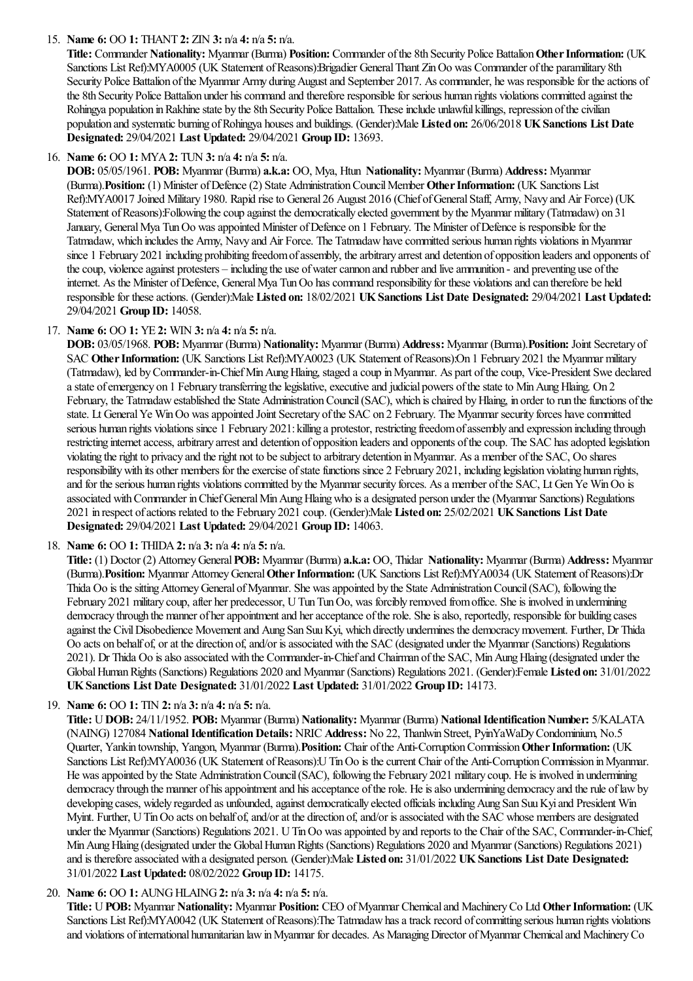### 15. **Name 6:** OO **1:** THANT **2:** ZIN **3:** n/a **4:** n/a **5:** n/a.

**Title: Commander Nationality: Myanmar (Burma) Position: Commander of the 8th Security Police Battalion Other Information: (UK)** Sanctions List Ref):MYA0005 (UK Statement of Reasons):Brigadier General Thant Zin Oo was Commander of the paramilitary 8th Security Police Battalion of the Myanmar Army during August and September 2017. As commander, he was responsible for the actions of the 8th Security Police Battalion under his command and therefore responsible for serious human rights violations committed against the Rohingya population in Rakhine state by the 8th Security Police Battalion. These include unlawful killings, repression of the civilian population and systematic burning ofRohingya housesand buildings. (Gender):Male **Listed on:** 26/06/2018 **UKSanctions List Date Designated:** 29/04/2021 **Last Updated:** 29/04/2021 **Group ID:** 13693.

### 16. **Name 6:** OO **1:** MYA**2:** TUN **3:** n/a **4:** n/a **5:** n/a.

**DOB:** 05/05/1961. **POB:** Myanmar (Burma) **a.k.a:** OO, Mya, Htun **Nationality:** Myanmar (Burma) **Address:** Myanmar (Burma). Position: (1) Minister of Defence (2) State Administration Council Member Other Information: (UK Sanctions List Ref):MYA0017 Joined Military 1980. Rapid rise to General 26 August 2016 (Chief of General Staff, Army, Navy and Air Force) (UK Statement of Reasons):Following the coup against the democratically elected government by the Myanmar military (Tatmadaw) on 31 January, General Mya Tun Oo was appointed Minister of Defence on 1 February. The Minister of Defence is responsible for the Tatmadaw, which includes the Army, Navy and Air Force. The Tatmadawhavecommitted serious human rights violations inMyanmar since 1 February 2021 including prohibiting freedom of assembly, the arbitrary arrest and detention of opposition leaders and opponents of the coup, violence against protesters – including the use of water cannon and rubber and live ammunition - and preventing use of the internet. As the Minister of Defence, General Mya Tun Oo has command responsibility for these violations and can therefore be held responsiblefor theseactions. (Gender):Male **Listed on:** 18/02/2021 **UKSanctions List Date Designated:** 29/04/2021 **Last Updated:** 29/04/2021 **Group ID:** 14058.

### 17. **Name 6:** OO **1:** YE **2:** WIN **3:** n/a **4:** n/a **5:** n/a.

**DOB:** 03/05/1968. **POB:** Myanmar (Burma) **Nationality:** Myanmar (Burma) **Address:** Myanmar (Burma).**Position:** Joint Secretary of SAC Other Information: (UK Sanctions List Ref):MYA0023 (UK Statement of Reasons):On 1 February 2021 the Myanmar military (Tatmadaw), led byCommander-in-ChiefMinAungHlaing, staged acoup inMyanmar. As part ofthecoup, Vice-President Swe declared a state of emergency on 1 February transferring the legislative, executive and judicial powers of the state to Min Aung Hlaing. On 2 February, the Tatmadaw established the State Administration Council (SAC), which is chaired by Hlaing, in order to run the functions of the state. Lt General Ye Win Oo was appointed Joint Secretary of the SAC on 2 February. The Myanmar security forces have committed serious human rights violations since 1 February 2021: killing a protestor, restricting freedom of assembly and expression including through restricting internet access, arbitrary arrest and detention of opposition leaders and opponents of the coup. The SAC has adopted legislation violating theright to privacy and theright not to besubject to arbitrary detention inMyanmar. Asa member ofthe SAC, Oo shares responsibility with its other members for the exercise of state functions since 2 February 2021, including legislation violating human rights, and for the serious human rights violations committed by the Myanmar security forces. As a member of the SAC, Lt Gen Ye Win Oo is associated with Commander in Chief General Min Aung Hlaing who is a designated person under the (Myanmar Sanctions) Regulations 2021 in respect ofactions related to the February 2021 coup. (Gender):Male **Listed on:** 25/02/2021 **UKSanctions List Date Designated:** 29/04/2021 **Last Updated:** 29/04/2021 **Group ID:** 14063.

# 18. **Name 6:** OO **1:** THIDA**2:** n/a **3:** n/a **4:** n/a **5:** n/a.

**Title:** (1) Doctor (2) AttorneyGeneral**POB:** Myanmar (Burma) **a.k.a:** OO, Thidar **Nationality:** Myanmar (Burma) **Address:** Myanmar (Burma).**Position:** Myanmar AttorneyGeneral**OtherInformation:** (UK Sanctions List Ref):MYA0034 (UK Statement ofReasons):Dr Thida Oo is the sitting Attorney General of Myanmar. She was appointed by the State Administration Council (SAC), following the February 2021 military coup, after her predecessor, U Tun Tun Oo, was forcibly removed from office. She is involved in undermining democracy through the manner of her appointment and her acceptance of the role. She is also, reportedly, responsible for building cases against the CivilDisobedience Movementand Aung San SuuKyi, which directly undermines the democracymovement. Further, Dr Thida Oo acts on behalf of, or at the direction of, and/or is associated with the SAC (designated under the Myanmar (Sanctions) Regulations 2021). Dr Thida Oo isalso associated with the Commander-in-Chiefand Chairman ofthe SAC, MinAungHlaing (designated under the GlobalHumanRights (Sanctions) Regulations 2020 and Myanmar (Sanctions) Regulations 2021. (Gender):Female **Listed on:** 31/01/2022 **UKSanctions List Date Designated:** 31/01/2022 **Last Updated:** 31/01/2022 **Group ID:** 14173.

# 19. **Name 6:** OO **1:** TIN **2:** n/a **3:** n/a **4:** n/a **5:** n/a.

**Title:** U**DOB:** 24/11/1952. **POB:** Myanmar (Burma) **Nationality:** Myanmar (Burma) **NationalIdentificationNumber:** 5/KALATA (NAING) 127084 **NationalIdentificationDetails:** NRIC **Address:** No 22, Thanlwin Street, PyinYaWaDyCondominium, No.5 Quarter, Yankin township, Yangon, Myanmar (Burma).**Position:** Chair ofthe Anti-CorruptionCommission**OtherInformation:** (UK Sanctions List Ref):MYA0036 (UK Statement of Reasons):U Tin Oo is the current Chair of the Anti-Corruption Commission in Myanmar. He was appointed by the State Administration Council (SAC), following the February 2021 military coup. He is involved in undermining democracy through the manner of his appointment and his acceptance of the role. He is also undermining democracy and the rule of law by developing cases, widely regarded as unfounded, against democratically elected officials including Aung San Suu Kyi and President Win Myint. Further, U Tin Oo acts on behalf of, and/or at the direction of, and/or is associated with the SAC whose members are designated under the Myanmar (Sanctions) Regulations 2021. UTinOo wasappointed by and reports to the Chair ofthe SAC, Commander-in-Chief, MinAungHlaing (designated under the GlobalHumanRights (Sanctions) Regulations 2020 and Myanmar (Sanctions) Regulations 2021) and is thereforeassociated with a designated person. (Gender):Male **Listed on:** 31/01/2022 **UKSanctions List Date Designated:** 31/01/2022 **Last Updated:** 08/02/2022 **Group ID:** 14175.

# 20. **Name 6:** OO **1:** AUNGHLAING**2:** n/a **3:** n/a **4:** n/a **5:** n/a.

**Title:** U**POB:** Myanmar **Nationality:** Myanmar **Position:** CEO ofMyanmar Chemicaland MachineryCo Ltd **OtherInformation:** (UK Sanctions List Ref):MYA0042 (UK Statement of Reasons):The Tatmadaw has a track record of committing serious human rights violations and violations of international humanitarian law in Myanmar for decades. As Managing Director of Myanmar Chemical and Machinery Co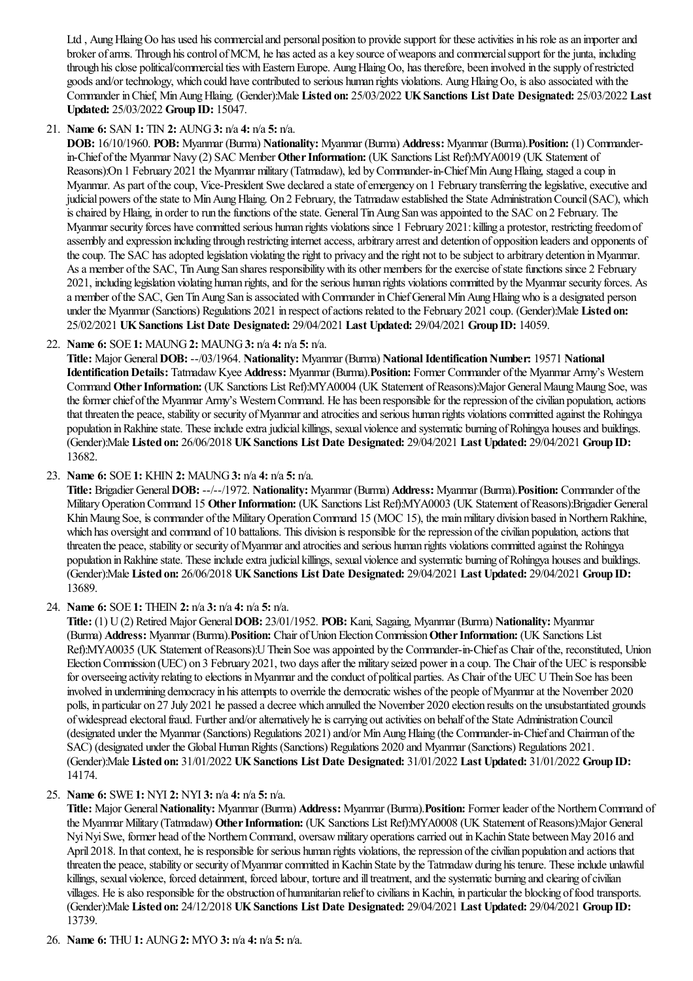Ltd, Aung Hlaing Oo has used his commercial and personal position to provide support for these activities in his role as an importer and broker ofarms. Through hiscontrol ofMCM, he hasacted asa key source ofweaponsand commercialsupport for thejunta, including through his close political/commercial ties with Eastern Europe. Aung Hlaing Oo, has therefore, been involved in the supply of restricted goods and/or technology, which could have contributed to serious human rights violations. Aung Hlaing Oo, is also associated with the Commander inChief, MinAungHlaing. (Gender):Male **Listed on:** 25/03/2022 **UKSanctions List Date Designated:** 25/03/2022 **Last Updated:** 25/03/2022 **Group ID:** 15047.

### 21. **Name 6:** SAN **1:** TIN **2:** AUNG**3:** n/a **4:** n/a **5:** n/a.

**DOB:** 16/10/1960. **POB:** Myanmar (Burma) **Nationality:** Myanmar (Burma) **Address:** Myanmar (Burma).**Position:** (1) Commanderin-Chief of the Myanmar Navy (2) SAC Member Other Information: (UK Sanctions List Ref):MYA0019 (UK Statement of Reasons):On 1 February 2021 the Myanmar military (Tatmadaw), led by Commander-in-Chief Min Aung Hlaing, staged a coup in Myanmar. As part of the coup, Vice-President Swe declared a state of emergency on 1 February transferring the legislative, executive and judicial powers of the state to Min Aung Hlaing. On 2 February, the Tatmadaw established the State Administration Council (SAC), which is chaired by Hlaing, in order to run the functions of the state. General Tin Aung San was appointed to the SAC on 2 February. The Myanmar security forces have committed serious human rights violations since 1 February 2021: killing a protestor, restricting freedom of assembly and expression including through restricting internet access, arbitrary arrest and detention of opposition leaders and opponents of the coup. The SAC has adopted legislation violating the right to privacy and the right not to be subject to arbitrary detention in Myanmar. As a member of the SAC, Tin Aung San shares responsibility with its other members for the exercise of state functions since 2 February 2021, including legislation violating human rights, and for the serious human rights violations committed by the Myanmar security forces. As a member of the SAC, Gen Tin Aung San is associated with Commander in Chief General Min Aung Hlaing who is a designated person under the Myanmar (Sanctions) Regulations 2021 in respect ofactions related to the February 2021 coup. (Gender):Male **Listed on:** 25/02/2021 **UKSanctions List Date Designated:** 29/04/2021 **Last Updated:** 29/04/2021 **Group ID:** 14059.

### 22. **Name 6:** SOE **1:** MAUNG**2:** MAUNG**3:** n/a **4:** n/a **5:** n/a.

**Title:** Major General**DOB:** --/03/1964. **Nationality:** Myanmar (Burma) **NationalIdentificationNumber:** 19571 **National IdentificationDetails:** TatmadawKyee **Address:** Myanmar (Burma).**Position:** Former Commander ofthe Myanmar Army's Western Command Other Information: (UK Sanctions List Ref):MYA0004 (UK Statement of Reasons):Major General Maung Maung Soe, was the former chief of the Myanmar Army's Western Command. He has been responsible for the repression of the civilian population, actions that threaten the peace, stability or security of Myanmar and atrocities and serious human rights violations committed against the Rohingya population in Rakhine state. These include extra judicial killings, sexual violence and systematic burning of Rohingya houses and buildings. (Gender):Male **Listed on:** 26/06/2018 **UKSanctions List Date Designated:** 29/04/2021 **Last Updated:** 29/04/2021 **Group ID:** 13682.

23. **Name 6:** SOE **1:** KHIN **2:** MAUNG**3:** n/a **4:** n/a **5:** n/a.

**Title:** Brigadier General**DOB:** --/--/1972. **Nationality:** Myanmar (Burma) **Address:** Myanmar (Burma).**Position:** Commander ofthe MilitaryOperationCommand 15 **OtherInformation:** (UK Sanctions List Ref):MYA0003 (UK Statement ofReasons):Brigadier General Khin Maung Soe, is commander of the Military Operation Command 15 (MOC 15), the main military division based in Northern Rakhine, which has oversight and command of 10 battalions. This division is responsible for the repression of the civilian population, actions that threaten the peace, stability or security of Myanmar and atrocities and serious human rights violations committed against the Rohingya population in Rakhine state. These include extra judicial killings, sexual violence and systematic burning of Rohingya houses and buildings. (Gender):Male **Listed on:** 26/06/2018 **UKSanctions List Date Designated:** 29/04/2021 **Last Updated:** 29/04/2021 **Group ID:** 13689.

# 24. **Name 6:** SOE **1:** THEIN **2:** n/a **3:** n/a **4:** n/a **5:** n/a.

**Title:** (1) U(2) Retired Major General**DOB:** 23/01/1952. **POB:** Kani, Sagaing, Myanmar (Burma) **Nationality:** Myanmar (Burma) **Address:** Myanmar (Burma).**Position:** Chair ofUnionElectionCommission**OtherInformation:** (UK Sanctions List Ref):MYA0035 (UK Statement of Reasons):U Thein Soe was appointed by the Commander-in-Chief as Chair of the, reconstituted, Union ElectionCommission (UEC) on 3 February 2021, two daysafter the military seized power in acoup. The Chair ofthe UEC is responsible for overseeing activity relating to elections in Myanmar and the conduct of political parties. As Chair of the UEC U Thein Soe has been involved in undermining democracy in his attempts to override the democratic wishes of the people of Myanmar at the November 2020 polls, in particular on 27 July 2021 he passed a decree which annulled the November 2020 election results on the unsubstantiated grounds of widespread electoral fraud. Further and/or alternatively he is carrying out activities on behalf of the State Administration Council (designated under the Myanmar (Sanctions) Regulations 2021) and/or Min Aung Hlaing (the Commander-in-Chief and Chairman of the SAC) (designated under the Global Human Rights (Sanctions) Regulations 2020 and Myanmar (Sanctions) Regulations 2021. (Gender):Male **Listed on:** 31/01/2022 **UKSanctions List Date Designated:** 31/01/2022 **Last Updated:** 31/01/2022 **Group ID:** 14174.

# 25. **Name 6:** SWE **1:** NYI **2:** NYI **3:** n/a **4:** n/a **5:** n/a.

**Title:** Major General**Nationality:** Myanmar (Burma) **Address:** Myanmar (Burma).**Position:** Former leader ofthe NorthernCommand of the Myanmar Military (Tatmadaw) **OtherInformation:** (UK Sanctions List Ref):MYA0008 (UK Statement ofReasons):Major General Nyi Nyi Swe, former head of the Northern Command, oversaw military operations carried out in Kachin State between May 2016 and April 2018. In that context, he is responsible for serious human rights violations, the repression of the civilian population and actions that threaten the peace, stability or security of Myanmar committed in Kachin State by the Tatmadaw during his tenure. These include unlawful killings, sexual violence, forced detainment, forced labour, torture and ill treatment, and the systematic burning and clearing of civilian villages. He is also responsible for the obstruction of humanitarian relief to civilians in Kachin, in particular the blocking of food transports. (Gender):Male **Listed on:** 24/12/2018 **UKSanctions List Date Designated:** 29/04/2021 **Last Updated:** 29/04/2021 **Group ID:** 13739.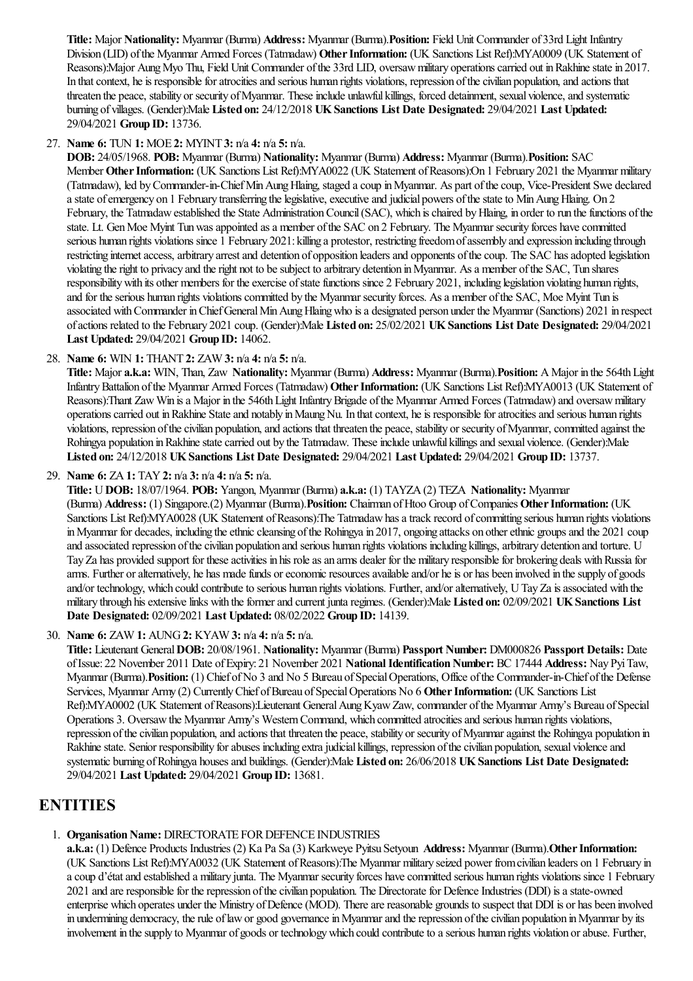**Title:** Major **Nationality:** Myanmar (Burma) **Address:** Myanmar (Burma).**Position:** Field Unit Commander of 33rd Light Infantry Division (LID) of the Myanmar Armed Forces (Tatmadaw) Other Information: (UK Sanctions List Ref):MYA0009 (UK Statement of Reasons):Major Aung Myo Thu, Field Unit Commander of the 33rd LID, oversaw military operations carried out in Rakhine state in 2017. In that context, he is responsible for atrocities and serious human rights violations, repression of the civilian population, and actions that threaten the peace, stability or security of Myanmar. These include unlawful killings, forced detainment, sexual violence, and systematic burning of villages. (Gender):Male **Listed on:** 24/12/2018 **UKSanctions List Date Designated:** 29/04/2021 **Last Updated:** 29/04/2021 **Group ID:** 13736.

27. **Name 6:** TUN **1:** MOE **2:** MYINT **3:** n/a **4:** n/a **5:** n/a.

**DOB:** 24/05/1968. **POB:** Myanmar (Burma) **Nationality:** Myanmar (Burma) **Address:** Myanmar (Burma).**Position:** SAC Member Other Information: (UK Sanctions List Ref):MYA0022 (UK Statement of Reasons):On 1 February 2021 the Myanmar military (Tatmadaw), led byCommander-in-ChiefMinAungHlaing, staged acoup inMyanmar. As part ofthecoup, Vice-President Swe declared a state of emergency on 1 February transferring the legislative, executive and judicial powers of the state to Min Aung Hlaing. On 2 February, the Tatmadaw established the State Administration Council (SAC), which is chaired by Hlaing, in order to run the functions of the state. Lt. Gen Moe Myint Tun was appointed as a member of the SAC on 2 February. The Myanmar security forces have committed serious human rights violations since 1 February 2021: killing a protestor, restricting freedom of assembly and expression including through restricting internet access, arbitrary arrest and detention of opposition leaders and opponents of the coup. The SAC has adopted legislation violating theright to privacy and theright not to besubject to arbitrary detention inMyanmar. Asa member ofthe SAC, Tun shares responsibility with its other members for the exercise of state functions since 2 February 2021, including legislation violating human rights, and for the serious human rights violations committed by the Myanmar security forces. As a member of the SAC, Moe Myint Tun is associated with Commander in Chief General Min Aung Hlaing who is a designated person under the Myanmar (Sanctions) 2021 in respect ofactions related to the February 2021 coup. (Gender):Male **Listed on:** 25/02/2021 **UKSanctions List Date Designated:** 29/04/2021 **Last Updated:** 29/04/2021 **Group ID:** 14062.

# 28. **Name 6:** WIN **1:** THANT **2:** ZAW **3:** n/a **4:** n/a **5:** n/a.

**Title:** Major **a.k.a:** WIN, Than, Zaw **Nationality:** Myanmar (Burma) **Address:** Myanmar (Burma).**Position:** AMajor in the 564thLight InfantryBattalion ofthe Myanmar Armed Forces (Tatmadaw) **OtherInformation:** (UK Sanctions List Ref):MYA0013 (UK Statement of Reasons):Thant Zaw Win is a Major in the 546th Light Infantry Brigade of the Myanmar Armed Forces (Tatmadaw) and oversaw military operations carried out in Rakhine State and notably in Maung Nu. In that context, he is responsible for atrocities and serious human rights violations, repression of the civilian population, and actions that threaten the peace, stability or security of Myanmar, committed against the Rohingya population in Rakhine state carried out by the Tatmadaw. These include unlawful killings and sexual violence. (Gender):Male **Listed on:** 24/12/2018 **UKSanctions List Date Designated:** 29/04/2021 **Last Updated:** 29/04/2021 **Group ID:** 13737.

29. **Name 6:** ZA**1:** TAY**2:** n/a **3:** n/a **4:** n/a **5:** n/a.

**Title:** U**DOB:** 18/07/1964. **POB:** Yangon, Myanmar (Burma) **a.k.a:** (1) TAYZA(2) TEZA **Nationality:** Myanmar (Burma) **Address:** (1) Singapore.(2) Myanmar (Burma).**Position:** Chairman ofHtoo Group ofCompanies **OtherInformation:** (UK Sanctions List Ref):MYA0028 (UK Statement of Reasons):The Tatmadaw has a track record of committing serious human rights violations in Myanmar for decades, including the ethnic cleansing of the Rohingya in 2017, ongoing attacks on other ethnic groups and the 2021 coup and associated repression of the civilian population and serious human rights violations including killings, arbitrary detention and torture. U Tay Za has provided support for these activities in his role as an arms dealer for the military responsible for brokering deals with Russia for arms. Further or alternatively, he has made funds or economic resources available and/or he is or has been involved in the supply of goods and/or technology, which could contribute to serious human rights violations. Further, and/or alternatively, U Tay Za is associated with the military through hisextensivelinks with theformerand current juntaregimes. (Gender):Male **Listed on:** 02/09/2021 **UKSanctions List Date Designated:** 02/09/2021 **Last Updated:** 08/02/2022 **Group ID:** 14139.

30. **Name 6:** ZAW **1:** AUNG**2:** KYAW **3:** n/a **4:** n/a **5:** n/a.

**Title:** Lieutenant General**DOB:** 20/08/1961. **Nationality:** Myanmar (Burma) **Passport Number:** DM000826 **Passport Details:** Date ofIssue: 22 November 2011 Date ofExpiry: 21 November 2021 **NationalIdentificationNumber:** BC 17444 **Address:** Nay PyiTaw, Myanmar (Burma).**Position:** (1) Chief ofNo 3 and No 5 Bureau ofSpecialOperations, Office ofthe Commander-in-Chief ofthe Defense Services, Myanmar Army (2) CurrentlyChief ofBureau ofSpecialOperations No 6 **OtherInformation:** (UK Sanctions List Ref):MYA0002 (UK Statement of Reasons):Lieutenant General Aung Kyaw Zaw, commander of the Myanmar Army's Bureau of Special Operations 3. Oversaw the Myanmar Army's Western Command, which committed atrocities and serious human rights violations, repression of the civilian population, and actions that threaten the peace, stability or security of Myanmar against the Rohingya population in Rakhine state. Senior responsibility for abuses including extra judicial killings, repression of the civilian population, sexual violence and systematic burning ofRohingya housesand buildings. (Gender):Male **Listed on:** 26/06/2018 **UKSanctions List Date Designated:** 29/04/2021 **Last Updated:** 29/04/2021 **Group ID:** 13681.

# **ENTITIES**

1. Organisation Name: DIRECTORATE FOR DEFENCE INDUSTRIES

**a.k.a:** (1) Defence Products Industries (2) Ka Pa Sa(3) Karkweye Pyitsu Setyoun **Address:** Myanmar (Burma).**OtherInformation:** (UK Sanctions List Ref):MYA0032 (UK Statement ofReasons):The Myanmar military seized power fromcivilian leaders on 1 February in a coup d'état and established a military junta. The Myanmar security forces have committed serious human rights violations since 1 February 2021 and are responsible for the repression of the civilian population. The Directorate for Defence Industries (DDI) is a state-owned enterprise which operates under the Ministry of Defence (MOD). There are reasonable grounds to suspect that DDI is or has been involved in undermining democracy, the rule of law or good governance in Myanmar and the repression of the civilian population in Myanmar by its involvement in the supply to Myanmar of goods or technology which could contribute to a serious human rights violation or abuse. Further,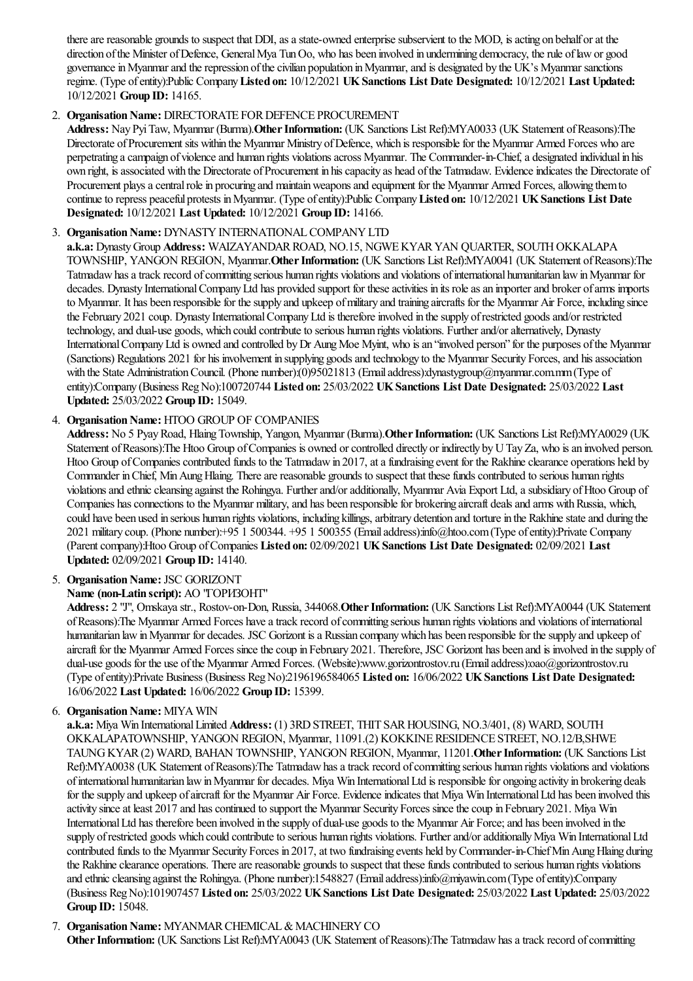there are reasonable grounds to suspect that DDI, as a state-owned enterprise subservient to the MOD, is acting on behalf or at the direction of the Minister of Defence, General Mya Tun Oo, who has been involved in undermining democracy, the rule of law or good governance in Myanmar and the repression of the civilian population in Myanmar, and is designated by the UK's Myanmar sanctions regime. (Type ofentity):Public Company**Listed on:** 10/12/2021 **UKSanctions List Date Designated:** 10/12/2021 **Last Updated:** 10/12/2021 **Group ID:** 14165.

# 2. Organisation Name: DIRECTORATE FOR DEFENCE PROCUREMENT

**Address:** Nay PyiTaw, Myanmar (Burma).**OtherInformation:** (UK Sanctions List Ref):MYA0033 (UK Statement ofReasons):The Directorate of Procurement sits within the Myanmar Ministry of Defence, which is responsible for the Myanmar Armed Forces who are perpetrating a campaign of violence and human rights violations across Myanmar. The Commander-in-Chief, a designated individual in his own right, is associated with the Directorate of Procurement in his capacity as head of the Tatmadaw. Evidence indicates the Directorate of Procurement plays a central role in procuring and maintain weapons and equipment for the Myanmar Armed Forces, allowing them to continueto repress peaceful protests inMyanmar. (Type ofentity):Public Company**Listed on:** 10/12/2021 **UKSanctions List Date Designated:** 10/12/2021 **Last Updated:** 10/12/2021 **Group ID:** 14166.

# 3. **Organisation Name: DYNASTY INTERNATIONAL COMPANY LTD**

**a.k.a:** DynastyGroup **Address:** WAIZAYANDARROAD, NO.15, NGWEKYARYAN QUARTER, SOUTHOKKALAPA TOWNSHIP, YANGON REGION, Myanmar.**OtherInformation:** (UK Sanctions List Ref):MYA0041 (UK Statement ofReasons):The Tatmadaw has a track record of committing serious human rights violations and violations of international humanitarian law in Myanmar for decades. Dynasty International Company Ltd has provided support for these activities in its role as an importer and broker of arms imports to Myanmar. It has been responsible for the supply and upkeep of military and training aircrafts for the Myanmar Air Force, including since the February 2021 coup. Dynasty InternationalCompanyLtd is thereforeinvolved in thesupply ofrestricted goodsand/or restricted technology, and dual-use goods, which could contribute to serious human rights violations. Further and/or alternatively, Dynasty International Company Ltd is owned and controlled by Dr Aung Moe Myint, who is an "involved person" for the purposes of the Myanmar (Sanctions) Regulations 2021 for his involvement in supplying goods and technology to the Myanmar Security Forces, and his association with the State Administration Council. (Phone number):(0)95021813 (Email address):dynastygroup@myanmar.com.mm (Type of entity):Company (Business RegNo):100720744 **Listed on:** 25/03/2022 **UKSanctions List Date Designated:** 25/03/2022 **Last Updated:** 25/03/2022 **Group ID:** 15049.

# 4. **Organisation Name: HTOO GROUP OF COMPANIES**

**Address:** No 5 PyayRoad, HlaingTownship, Yangon, Myanmar (Burma).**OtherInformation:** (UK Sanctions List Ref):MYA0029 (UK Statement of Reasons):The Htoo Group of Companies is owned or controlled directly or indirectly by U Tay Za, who is an involved person. Htoo Group of Companies contributed funds to the Tatmadaw in 2017, at a fundraising event for the Rakhine clearance operations held by Commander in Chief, Min Aung Hlaing. There are reasonable grounds to suspect that these funds contributed to serious human rights violations and ethnic cleansing against the Rohingya. Further and/or additionally, Myanmar Avia Export Ltd, a subsidiary of Htoo Group of Companies has connections to the Myanmar military, and has been responsible for brokering aircraft deals and arms with Russia, which, could have been used in serious human rights violations, including killings, arbitrary detention and torture in the Rakhine state and during the 2021 military coup. (Phone number):+95 1 500344. +95 1 500355 (Emailaddress):info@htoo.com(Type ofentity):Private Company (Parentcompany):Htoo Group ofCompanies **Listed on:** 02/09/2021 **UKSanctions List Date Designated:** 02/09/2021 **Last Updated:** 02/09/2021 **Group ID:** 14140.

# 5. Organisation Name: JSC GORIZONT **Name (non-Latin script):** АО "ГОРИЗОНТ"

**Address:** 2 "J", Omskayastr., Rostov-on-Don, Russia, 344068.**OtherInformation:** (UK Sanctions List Ref):MYA0044 (UK Statement of Reasons):The Myanmar Armed Forces have a track record of committing serious human rights violations and violations of international humanitarian law in Myanmar for decades. JSC Gorizont is a Russian company which has been responsible for the supply and upkeep of aircraft for the Myanmar Armed Forces since the coup in February 2021. Therefore, JSC Gorizont has been and is involved in the supply of dual-use goods for the use ofthe Myanmar Armed Forces. (Website):www.gorizontrostov.ru (Emailaddress):oao@gorizontrostov.ru (Type ofentity):Private Business (Business RegNo):2196196584065 **Listed on:** 16/06/2022 **UKSanctions List Date Designated:** 16/06/2022 **Last Updated:** 16/06/2022 **Group ID:** 15399.

## 6. **Organisation Name:** MIYA WIN

**a.k.a:** Miya Win InternationalLimited **Address:** (1) 3RDSTREET, THIT SARHOUSING, NO.3/401, (8) WARD, SOUTH OKKALAPATOWNSHIP, YANGON REGION, Myanmar, 11091.(2) KOKKINERESIDENCE STREET, NO.12/B,SHWE TAUNGKYAR(2) WARD, BAHAN TOWNSHIP, YANGON REGION, Myanmar, 11201.**OtherInformation:** (UK Sanctions List Ref):MYA0038 (UK Statement of Reasons):The Tatmadaw has a track record of committing serious human rights violations and violations of international humanitarian law in Myanmar for decades. Miya Win International Ltd is responsible for ongoing activity in brokering deals for the supply and upkeep of aircraft for the Myanmar Air Force. Evidence indicates that Miya Win International Ltd has been involved this activity since at least 2017 and has continued to support the Myanmar Security Forces since the coup in February 2021. Miya Win International Ltd has therefore been involved in the supply of dual-use goods to the Myanmar Air Force; and has been involved in the supply of restricted goods which could contribute to serious human rights violations. Further and/or additionally Miya Win International Ltd contributed funds to the Myanmar Security Forces in 2017, at two fundraising events held by Commander-in-Chief Min Aung Hlaing during the Rakhine clearance operations. There are reasonable grounds to suspect that these funds contributed to serious human rights violations and ethnic cleansing against the Rohingya. (Phone number):1548827 (Email address):info@miyawin.com(Type of entity):Company (Business RegNo):101907457 **Listed on:** 25/03/2022 **UKSanctions List Date Designated:** 25/03/2022 **Last Updated:** 25/03/2022 **Group ID:** 15048.

7. Organisation Name: MYANMAR CHEMICAL & MACHINERY CO **Other Information:** (UK Sanctions List Ref):MYA0043 (UK Statement of Reasons):The Tatmadaw has a track record of committing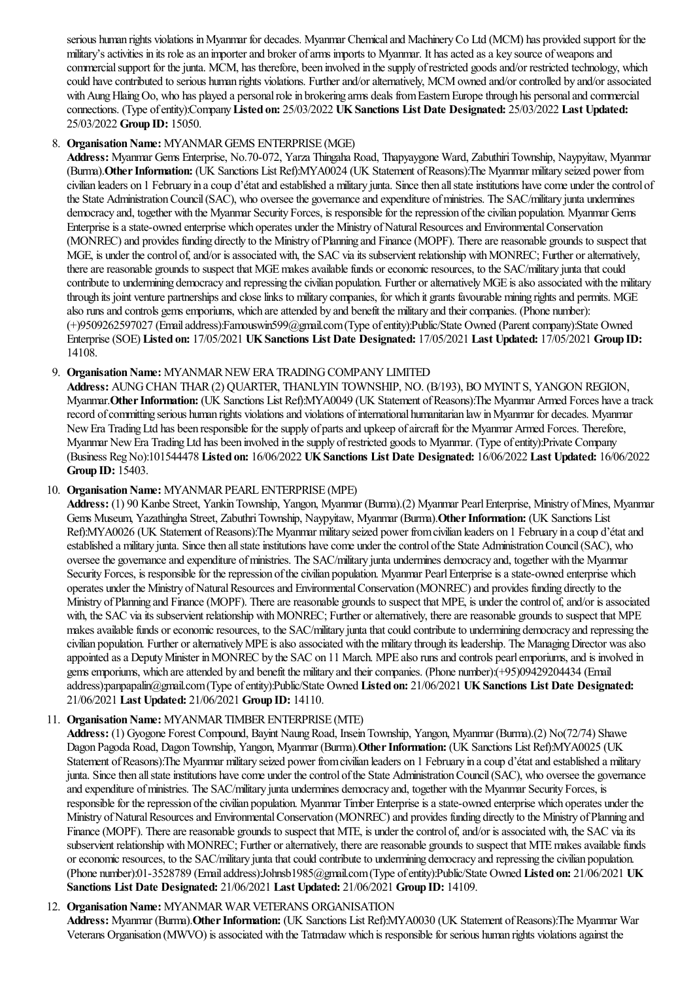serious human rights violations in Myanmar for decades. Myanmar Chemical and Machinery Co Ltd (MCM) has provided support for the military's activities in its role as an importer and broker of arms imports to Myanmar. It has acted as a key source of weapons and commercial support for the junta. MCM, has therefore, been involved in the supply of restricted goods and/or restricted technology, which could have contributed to serious human rights violations. Further and/or alternatively, MCM owned and/or controlled by and/or associated with Aung Hlaing Oo, who has played a personal role in brokering arms deals from Eastern Europe through his personal and commercial connections. (Type ofentity):Company**Listed on:** 25/03/2022 **UKSanctions List Date Designated:** 25/03/2022 **Last Updated:** 25/03/2022 **Group ID:** 15050.

# 8. **Organisation Name: MYANMAR GEMS ENTERPRISE (MGE)**

Address: Myanmar Gems Enterprise, No.70-072, Yarza Thingaha Road, Thapyaygone Ward, Zabuthiri Township, Naypyitaw, Myanmar (Burma). Other Information: (UK Sanctions List Ref):MYA0024 (UK Statement of Reasons):The Myanmar military seized power from civilian leaders on 1 February in a coup d'état and established a military junta. Since then all state institutions have come under the control of the State Administration Council (SAC), who oversee the governance and expenditure of ministries. The SAC/military junta undermines democracy and, together with the Myanmar Security Forces, is responsible for the repression of the civilian population. Myanmar Gems Enterprise is a state-owned enterprise which operates under the Ministry of Natural Resources and Environmental Conservation (MONREC) and provides funding directly to the Ministry of Planning and Finance (MOPF). There are reasonable grounds to suspect that MGE, is under the control of, and/or is associated with, the SAC via its subservient relationship with MONREC; Further or alternatively, there are reasonable grounds to suspect that MGE makes available funds or economic resources, to the SAC/military junta that could contribute to undermining democracy and repressing the civilian population. Further or alternatively MGE is also associated with the military through its joint venture partnerships and close links to military companies, for which it grants favourable mining rights and permits. MGE also runs and controls gems emporiums, which are attended by and benefit the military and their companies. (Phone number): (+)9509262597027 (Emailaddress):Famouswin599@gmail.com(Type ofentity):Public/State Owned (Parentcompany):State Owned Enterprise(SOE) **Listed on:** 17/05/2021 **UKSanctions List Date Designated:** 17/05/2021 **Last Updated:** 17/05/2021 **Group ID:** 14108.

### 9. **Organisation Name: MYANMAR NEW ERA TRADING COMPANY LIMITED**

**Address:** AUNGCHAN THAR(2) QUARTER, THANLYIN TOWNSHIP, NO. (B/193), BO MYINT S, YANGON REGION, Myanmar. Other Information: (UK Sanctions List Ref):MYA0049 (UK Statement of Reasons):The Myanmar Armed Forces have a track record of committing serious human rights violations and violations of international humanitarian law in Myanmar for decades. Myanmar New Era Trading Ltd has been responsible for the supply of parts and upkeep of aircraft for the Myanmar Armed Forces. Therefore, Myanmar NewEra TradingLtd has been involved in thesupply ofrestricted goods to Myanmar. (Type ofentity):Private Company (Business RegNo):101544478 **Listed on:** 16/06/2022 **UKSanctions List Date Designated:** 16/06/2022 **Last Updated:** 16/06/2022 **Group ID:** 15403.

#### 10. Organisation Name: MYANMAR PEARL ENTERPRISE (MPE)

Address: (1) 90 Kanbe Street, Yankin Township, Yangon, Myanmar (Burma).(2) Myanmar Pearl Enterprise, Ministry of Mines, Myanmar Gems Museum, Yazathingha Street, Zabuthri Township, Naypyitaw, Myanmar (Burma). Other Information: (UK Sanctions List Ref):MYA0026 (UK Statement ofReasons):The Myanmar military seized power fromcivilian leaders on 1 February in acoup d'étatand established a military junta. Since then all state institutions have come under the control of the State Administration Council (SAC), who overseethe governanceand expenditure ofministries. The SAC/military junta undermines democracy and, together with the Myanmar Security Forces, is responsible for the repression of the civilian population. Myanmar Pearl Enterprise is a state-owned enterprise which operates under the Ministry of Natural Resources and Environmental Conservation (MONREC) and provides funding directly to the Ministry of Planning and Finance (MOPF). There are reasonable grounds to suspect that MPE, is under the control of, and/or is associated with, the SAC via its subservient relationship with MONREC; Further or alternatively, there are reasonable grounds to suspect that MPE makes available funds or economic resources, to the SAC/military junta that could contribute to undermining democracy and repressing the civilian population. Further or alternatively MPE is also associated with the military through its leadership. The Managing Director was also appointed as a Deputy Minister in MONREC by the SAC on 11 March. MPE also runs and controls pearl emporiums, and is involved in gems emporiums, which are attended by and benefit the military and their companies. (Phone number):(+95)09429204434 (Email address):panpapalin@gmail.com(Type ofentity):Public/State Owned **Listed on:** 21/06/2021 **UKSanctions List Date Designated:** 21/06/2021 **Last Updated:** 21/06/2021 **Group ID:** 14110.

# 11. Organisation Name: MYANMAR TIMBER ENTERPRISE (MTE)

**Address:** (1) Gyogone Forest Compound, Bayint NaungRoad, InseinTownship, Yangon, Myanmar (Burma).(2) No(72/74) Shawe Dagon Pagoda Road, Dagon Township, Yangon, Myanmar (Burma). Other Information: (UK Sanctions List Ref):MYA0025 (UK Statement of Reasons):The Myanmar military seized power from civilian leaders on 1 February in a coup d'état and established a military junta. Since then all state institutions have come under the control of the State Administration Council (SAC), who oversee the governance and expenditure ofministries. The SAC/military junta undermines democracy and, together with the Myanmar Security Forces, is responsible for the repression of the civilian population. Myanmar Timber Enterprise is a state-owned enterprise which operates under the Ministry of Natural Resources and Environmental Conservation (MONREC) and provides funding directly to the Ministry of Planning and Finance (MOPF). There are reasonable grounds to suspect that MTE, is under the control of, and/or is associated with, the SAC via its subservient relationship with MONREC; Further or alternatively, there are reasonable grounds to suspect that MTE makes available funds or economic resources, to the SAC/military junta that could contribute to undermining democracy and repressing the civilian population. (Phone number):01-3528789 (Emailaddress):Johnsb1985@gmail.com(Type ofentity):Public/State Owned **Listed on:** 21/06/2021 **UK Sanctions List Date Designated:** 21/06/2021 **Last Updated:** 21/06/2021 **Group ID:** 14109.

#### 12. Organisation Name: MYANMAR WAR VETERANS ORGANISATION

**Address:** Myanmar (Burma).**OtherInformation:** (UK Sanctions List Ref):MYA0030 (UK Statement ofReasons):The Myanmar War Veterans Organisation (MWVO) is associated with the Tatmadaw which is responsible for serious human rights violations against the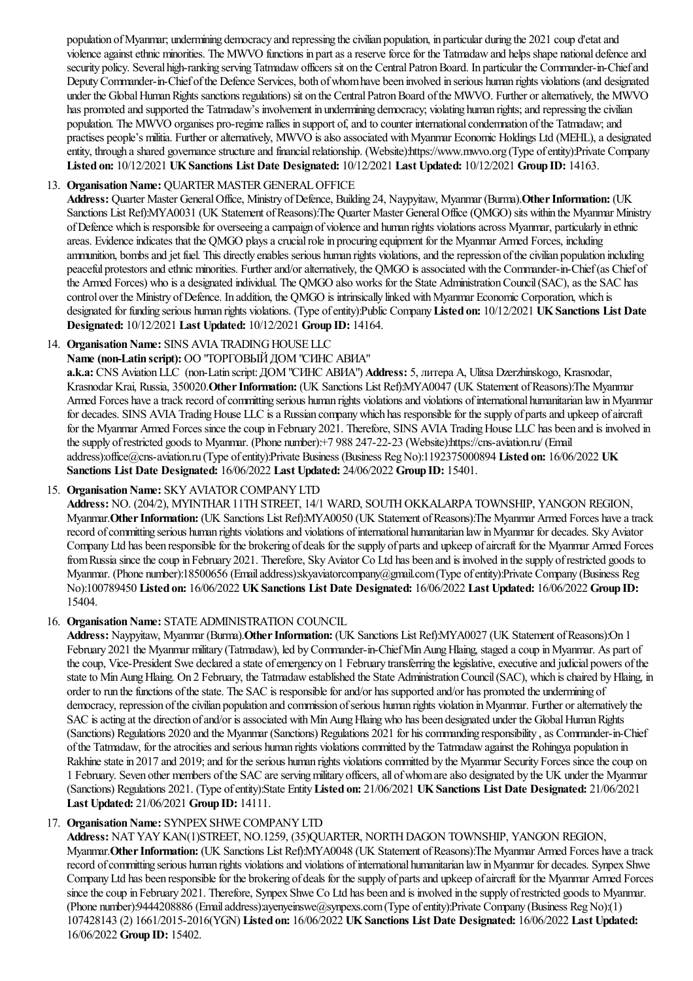population of Myanmar; undermining democracy and repressing the civilian population, in particular during the 2021 coup d'etat and violence against ethnic minorities. The MWVO functions in part as a reserve force for the Tatmadaw and helps shape national defence and security policy. Several high-ranking serving Tatmadaw officers sit on the Central Patron Board. In particular the Commander-in-Chief and DeputyCommander-in-Chief ofthe Defence Services, both ofwhomhave been involved in serious human rights violations (and designated under the Global Human Rights sanctions regulations) sit on the Central Patron Board of the MWVO. Further or alternatively, the MWVO has promoted and supported the Tatmadaw's involvement in undermining democracy; violating human rights; and repressing the civilian population. The MWVO organises pro-regime rallies in support of, and to counter international condemnation of the Tatmadaw; and practises people's militia. Further or alternatively, MWVO is also associated with Myanmar Economic Holdings Ltd (MEHL), a designated entity, through a shared governance structure and financial relationship. (Website):https://www.mwvo.org (Type of entity):Private Company **Listed on:** 10/12/2021 **UKSanctions List Date Designated:** 10/12/2021 **Last Updated:** 10/12/2021 **Group ID:** 14163.

# 13. Organisation Name: QUARTER MASTER GENERAL OFFICE

Address: Quarter Master General Office, Ministry of Defence, Building 24, Naypyitaw, Myanmar (Burma). Other Information: (UK Sanctions List Ref):MYA0031 (UK Statement ofReasons):The Quarter Master GeneralOffice(QMGO) sits within the Myanmar Ministry of Defence which is responsible for overseeing a campaign of violence and human rights violations across Myanmar, particularly in ethnic areas. Evidence indicates that the QMGO plays a crucial role in procuring equipment for the Myanmar Armed Forces, including ammunition, bombs and jet fuel. This directly enables serious human rights violations, and the repression of the civilian population including peaceful protestors and ethnic minorities. Further and/or alternatively, the QMGO is associated with the Commander-in-Chief (as Chief of the Armed Forces) who is a designated individual. The QMGO also works for the State Administration Council (SAC), as the SAC has control over the Ministry of Defence. In addition, the QMGO is intrinsically linked with Myanmar Economic Corporation, which is designated for funding serious human rights violations. (Type ofentity):Public Company**Listed on:** 10/12/2021 **UKSanctions List Date Designated:** 10/12/2021 **Last Updated:** 10/12/2021 **Group ID:** 14164.

# 14. Organisation Name: SINS AVIA TRADING HOUSE LLC

**Name (non-Latin script):** ОО "ТОРГОВЫЙДОМ"СИНС АВИА"

**a.k.a:** CNS AviationLLC (non-Latin script:ДОМ"СИНС АВИА") **Address:** 5, литера А, Ulitsa Dzerzhinskogo, Krasnodar, Krasnodar Krai, Russia, 350020. Other Information: (UK Sanctions List Ref):MYA0047 (UK Statement of Reasons):The Myanmar Armed Forces have a track record of committing serious human rights violations and violations of international humanitarian law in Myanmar for decades. SINS AVIA Trading House LLC is a Russian company which has responsible for the supply of parts and upkeep of aircraft for the Myanmar Armed Forces since the coup in February 2021. Therefore, SINS AVIA Trading House LLC has been and is involved in the supply of restricted goods to Myanmar. (Phone number):+7 988 247-22-23 (Website):https://cns-aviation.ru/ (Email address):office@cns-aviation.ru (Type ofentity):Private Business (Business RegNo):1192375000894 **Listed on:** 16/06/2022 **UK Sanctions List Date Designated:** 16/06/2022 **Last Updated:** 24/06/2022 **Group ID:** 15401.

#### 15. Organisation Name: SKY AVIATOR COMPANY LTD

**Address:** NO. (204/2), MYINTHAR11THSTREET, 14/1 WARD, SOUTHOKKALARPATOWNSHIP, YANGON REGION, Myanmar.**Other Information:** (UK Sanctions List Ref):MYA0050 (UK Statement of Reasons):The Myanmar Armed Forces have a track record of committing serious human rights violations and violations of international humanitarian law in Myanmar for decades. Sky Aviator Company Ltd has been responsible for the brokering of deals for the supply of parts and upkeep of aircraft for the Myanmar Armed Forces from Russia since the coup in February 2021. Therefore, Sky Aviator Co Ltd has been and is involved in the supply of restricted goods to Myanmar. (Phone number):18500656 (Emailaddress):skyaviatorcompany@gmail.com(Type ofentity):Private Company (Business Reg No):100789450 **Listed on:** 16/06/2022 **UKSanctions List Date Designated:** 16/06/2022 **Last Updated:** 16/06/2022 **Group ID:** 15404.

#### 16. **Organisation Name:** STATE ADMINISTRATION COUNCIL

**Address:** Naypyitaw, Myanmar (Burma).**OtherInformation:** (UK Sanctions List Ref):MYA0027 (UK Statement ofReasons):On 1 February 2021 the Myanmar military (Tatmadaw), led by Commander-in-Chief Min Aung Hlaing, staged a coup in Myanmar. As part of the coup, Vice-President Swe declared a state of emergency on 1 February transferring the legislative, executive and judicial powers of the state to Min Aung Hlaing. On 2 February, the Tatmadaw established the State Administration Council (SAC), which is chaired by Hlaing, in order to run the functions of the state. The SAC is responsible for and/or has supported and/or has promoted the undermining of democracy, repression of the civilian population and commission of serious human rights violation in Myanmar. Further or alternatively the SAC is acting at the direction of and/or is associated with Min Aung Hlaing who has been designated under the Global Human Rights (Sanctions) Regulations 2020 and the Myanmar (Sanctions) Regulations 2021 for his commanding responsibility, as Commander-in-Chief of the Tatmadaw, for the atrocities and serious human rights violations committed by the Tatmadaw against the Rohingya population in Rakhine state in 2017 and 2019; and for the serious human rights violations committed by the Myanmar Security Forces since the coup on 1 February. Seven other members ofthe SAC areservingmilitary officers,all ofwhomarealso designated by the UK under the Myanmar (Sanctions) Regulations 2021. (Type ofentity):State Entity**Listed on:** 21/06/2021 **UKSanctions List Date Designated:** 21/06/2021 **Last Updated:** 21/06/2021 **Group ID:** 14111.

#### 17. **Organisation Name:** SYNPEX SHWE COMPANY LTD

**Address:** NATYAYKAN(1)STREET, NO.1259, (35)QUARTER, NORTHDAGON TOWNSHIP, YANGON REGION, Myanmar. Other Information: (UK Sanctions List Ref):MYA0048 (UK Statement of Reasons):The Myanmar Armed Forces have a track record of committing serious human rights violations and violations of international humanitarian law in Myanmar for decades. Synpex Shwe Company Ltd has been responsible for the brokering of deals for the supply of parts and upkeep of aircraft for the Myanmar Armed Forces since the coup in February 2021. Therefore, Synpex Shwe Co Ltd has been and is involved in the supply of restricted goods to Myanmar. (Phone number):9444208886 (Emailaddress):ayenyeinswe@synpexs.com(Type ofentity):Private Company (Business RegNo):(1) 107428143 (2) 1661/2015-2016(YGN) **Listed on:** 16/06/2022 **UKSanctions List Date Designated:** 16/06/2022 **Last Updated:** 16/06/2022 **Group ID:** 15402.